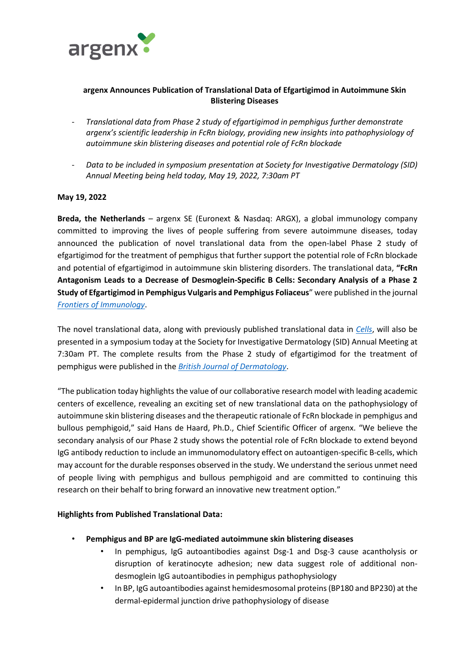

# **argenx Announces Publication of Translational Data of Efgartigimod in Autoimmune Skin Blistering Diseases**

- *Translational data from Phase 2 study of efgartigimod in pemphigus further demonstrate argenx's scientific leadership in FcRn biology, providing new insights into pathophysiology of autoimmune skin blistering diseases and potential role of FcRn blockade*
- *Data to be included in symposium presentation at Society for Investigative Dermatology (SID) Annual Meeting being held today, May 19, 2022, 7:30am PT*

## **May 19, 2022**

**Breda, the Netherlands** – argenx SE (Euronext & Nasdaq: ARGX), a global immunology company committed to improving the lives of people suffering from severe autoimmune diseases, today announced the publication of novel translational data from the open-label Phase 2 study of efgartigimod for the treatment of pemphigus that further support the potential role of FcRn blockade and potential of efgartigimod in autoimmune skin blistering disorders. The translational data, **"FcRn Antagonism Leads to a Decrease of Desmoglein-Specific B Cells: Secondary Analysis of a Phase 2 Study of Efgartigimod in Pemphigus Vulgaris and Pemphigus Foliaceus**" were published in the journal *[Frontiers of Immunology](https://www.frontiersin.org/articles/10.3389/fimmu.2022.863095/full)*.

The novel translational data, along with previously published translational data in *[Cells](https://www.mdpi.com/2073-4409/11/6/942/htm)*, will also be presented in a symposium today at the Society for Investigative Dermatology (SID) Annual Meeting at 7:30am PT. The complete results from the Phase 2 study of efgartigimod for the treatment of pemphigus were published in the *[British Journal of Dermatology](https://doi.org/10.1111/bjd.20782)*.

"The publication today highlights the value of our collaborative research model with leading academic centers of excellence, revealing an exciting set of new translational data on the pathophysiology of autoimmune skin blistering diseases and the therapeutic rationale of FcRn blockade in pemphigus and bullous pemphigoid," said Hans de Haard, Ph.D., Chief Scientific Officer of argenx. "We believe the secondary analysis of our Phase 2 study shows the potential role of FcRn blockade to extend beyond IgG antibody reduction to include an immunomodulatory effect on autoantigen-specific B-cells, which may account for the durable responses observed in the study. We understand the serious unmet need of people living with pemphigus and bullous pemphigoid and are committed to continuing this research on their behalf to bring forward an innovative new treatment option."

## **Highlights from Published Translational Data:**

- **Pemphigus and BP are IgG-mediated autoimmune skin blistering diseases**
	- In pemphigus, IgG autoantibodies against Dsg-1 and Dsg-3 cause acantholysis or disruption of keratinocyte adhesion; new data suggest role of additional nondesmoglein IgG autoantibodies in pemphigus pathophysiology
	- In BP, IgG autoantibodies against hemidesmosomal proteins (BP180 and BP230) at the dermal-epidermal junction drive pathophysiology of disease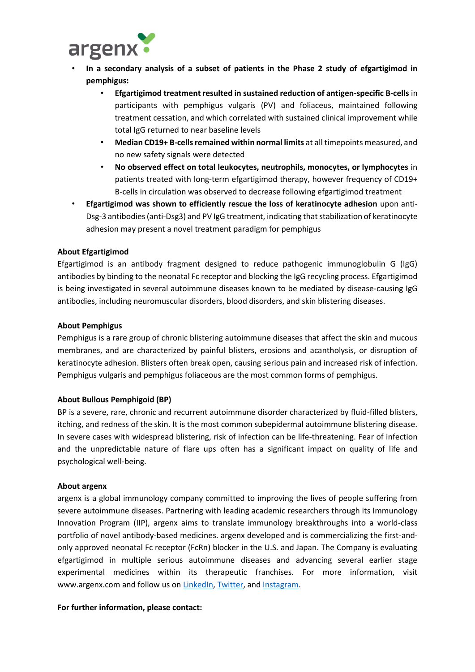

- **In a secondary analysis of a subset of patients in the Phase 2 study of efgartigimod in pemphigus:**
	- **Efgartigimod treatment resulted in sustained reduction of antigen-specific B-cells** in participants with pemphigus vulgaris (PV) and foliaceus, maintained following treatment cessation, and which correlated with sustained clinical improvement while total IgG returned to near baseline levels
	- **Median CD19+ B-cells remained within normal limits** at all timepoints measured, and no new safety signals were detected
	- **No observed effect on total leukocytes, neutrophils, monocytes, or lymphocytes** in patients treated with long-term efgartigimod therapy, however frequency of CD19+ B-cells in circulation was observed to decrease following efgartigimod treatment
- **Efgartigimod was shown to efficiently rescue the loss of keratinocyte adhesion** upon anti-Dsg-3 antibodies (anti-Dsg3) and PV IgG treatment, indicating that stabilization of keratinocyte adhesion may present a novel treatment paradigm for pemphigus

### **About Efgartigimod**

Efgartigimod is an antibody fragment designed to reduce pathogenic immunoglobulin G (IgG) antibodies by binding to the neonatal Fc receptor and blocking the IgG recycling process. Efgartigimod is being investigated in several autoimmune diseases known to be mediated by disease-causing IgG antibodies, including neuromuscular disorders, blood disorders, and skin blistering diseases.

#### **About Pemphigus**

Pemphigus is a rare group of chronic blistering autoimmune diseases that affect the skin and mucous membranes, and are characterized by painful blisters, erosions and acantholysis, or disruption of keratinocyte adhesion. Blisters often break open, causing serious pain and increased risk of infection. Pemphigus vulgaris and pemphigus foliaceous are the most common forms of pemphigus.

#### **About Bullous Pemphigoid (BP)**

BP is a severe, rare, chronic and recurrent autoimmune disorder characterized by fluid-filled blisters, itching, and redness of the skin. It is the most common subepidermal autoimmune blistering disease. In severe cases with widespread blistering, risk of infection can be life-threatening. Fear of infection and the unpredictable nature of flare ups often has a significant impact on quality of life and psychological well-being.

#### **About argenx**

argenx is a global immunology company committed to improving the lives of people suffering from severe autoimmune diseases. Partnering with leading academic researchers through its Immunology Innovation Program (IIP), argenx aims to translate immunology breakthroughs into a world-class portfolio of novel antibody-based medicines. argenx developed and is commercializing the first-andonly approved neonatal Fc receptor (FcRn) blocker in the U.S. and Japan. The Company is evaluating efgartigimod in multiple serious autoimmune diseases and advancing several earlier stage experimental medicines within its therapeutic franchises. For more information, visit www.argenx.com and follow us on [LinkedIn,](https://www.linkedin.com/company/argenx/) [Twitter,](https://twitter.com/argenxglobal) and [Instagram.](https://www.instagram.com/argenxglobal)

#### **For further information, please contact:**